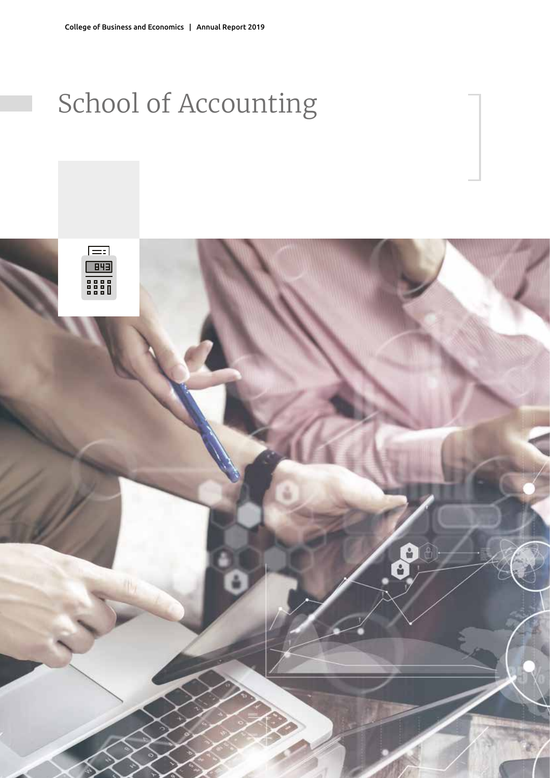# School of Accounting

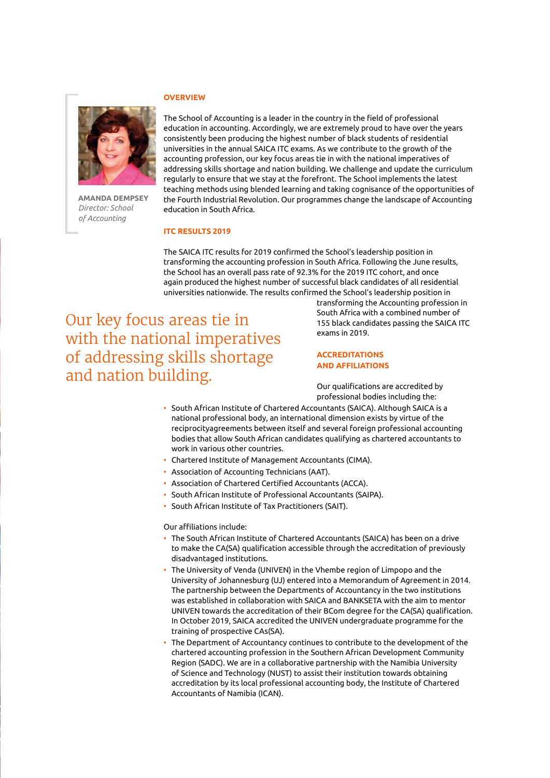**Amanda Dempsey** *Director: School of Accounting*

## **Overview**

The School of Accounting is a leader in the country in the field of professional education in accounting. Accordingly, we are extremely proud to have over the years consistently been producing the highest number of black students of residential universities in the annual SAICA ITC exams. As we contribute to the growth of the accounting profession, our key focus areas tie in with the national imperatives of addressing skills shortage and nation building. We challenge and update the curriculum regularly to ensure that we stay at the forefront. The School implements the latest teaching methods using blended learning and taking cognisance of the opportunities of the Fourth Industrial Revolution. Our programmes change the landscape of Accounting education in South Africa.

#### **ITC RESULTS 2019**

The SAICA ITC results for 2019 confirmed the School's leadership position in transforming the accounting profession in South Africa. Following the June results, the School has an overall pass rate of 92.3% for the 2019 ITC cohort, and once again produced the highest number of successful black candidates of all residential universities nationwide. The results confirmed the School's leadership position in

Our key focus areas tie in with the national imperatives of addressing skills shortage and nation building.

transforming the Accounting profession in South Africa with a combined number of 155 black candidates passing the SAICA ITC exams in 2019.

## **Acc reditations and affiliations**

Our qualifications are accredited by professional bodies including the:

- South African Institute of Chartered Accountants (SAICA). Although SAICA is a national professional body, an international dimension exists by virtue of the reciprocityagreements between itself and several foreign professional accounting bodies that allow South African candidates qualifying as chartered accountants to work in various other countries.
- Chartered Institute of Management Accountants (CIMA).
- Association of Accounting Technicians (AAT).
- Association of Chartered Certified Accountants (ACCA).
- South African Institute of Professional Accountants (SAIPA).
- South African Institute of Tax Practitioners (SAIT).

Our affiliations include:

- The South African Institute of Chartered Accountants (SAICA) has been on a drive to make the CA(SA) qualification accessible through the accreditation of previously disadvantaged institutions.
- The University of Venda (UNIVEN) in the Vhembe region of Limpopo and the University of Johannesburg (UJ) entered into a Memorandum of Agreement in 2014. The partnership between the Departments of Accountancy in the two institutions was established in collaboration with SAICA and BANKSETA with the aim to mentor UNIVEN towards the accreditation of their BCom degree for the CA(SA) qualification. In October 2019, SAICA accredited the UNIVEN undergraduate programme for the training of prospective CAs(SA).
- The Department of Accountancy continues to contribute to the development of the chartered accounting profession in the Southern African Development Community Region (SADC). We are in a collaborative partnership with the Namibia University of Science and Technology (NUST) to assist their institution towards obtaining accreditation by its local professional accounting body, the Institute of Chartered Accountants of Namibia (ICAN).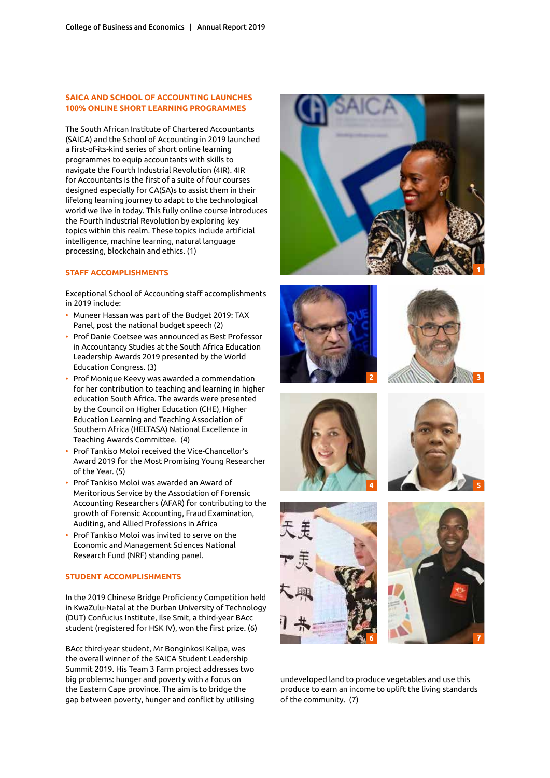## **SAICA AND SCHOOL OF ACCOUNTING LAUNCHES 100% Online Short Learning Programmes**

The South African Institute of Chartered Accountants (SAICA) and the School of Accounting in 2019 launched a first-of-its-kind series of short online learning programmes to equip accountants with skills to navigate the Fourth Industrial Revolution (4IR). 4IR for Accountants is the first of a suite of four courses designed especially for CA(SA)s to assist them in their lifelong learning journey to adapt to the technological world we live in today. This fully online course introduces the Fourth Industrial Revolution by exploring key topics within this realm. These topics include artificial intelligence, machine learning, natural language processing, blockchain and ethics. (1)

#### **STAFF ACCOMPLISHMENTS**

Exceptional School of Accounting staff accomplishments in 2019 include:

- Muneer Hassan was part of the Budget 2019: TAX Panel, post the national budget speech (2)
- Prof Danie Coetsee was announced as Best Professor in Accountancy Studies at the South Africa Education Leadership Awards 2019 presented by the World Education Congress. (3)
- Prof Monique Keevy was awarded a commendation for her contribution to teaching and learning in higher education South Africa. The awards were presented by the Council on Higher Education (CHE), Higher Education Learning and Teaching Association of Southern Africa (HELTASA) National Excellence in Teaching Awards Committee. (4)
- Prof Tankiso Moloi received the Vice-Chancellor's Award 2019 for the Most Promising Young Researcher of the Year. (5)
- Prof Tankiso Moloi was awarded an Award of Meritorious Service by the Association of Forensic Accounting Researchers (AFAR) for contributing to the growth of Forensic Accounting, Fraud Examination, Auditing, and Allied Professions in Africa
- Prof Tankiso Moloi was invited to serve on the Economic and Management Sciences National Research Fund (NRF) standing panel.

#### **St udent accomplishments**

In the 2019 Chinese Bridge Proficiency Competition held in KwaZulu-Natal at the Durban University of Technology (DUT) Confucius Institute, Ilse Smit, a third-year BAcc student (registered for HSK IV), won the first prize. (6)

BAcc third-year student, Mr Bonginkosi Kalipa, was the overall winner of the SAICA Student Leadership Summit 2019. His Team 3 Farm project addresses two big problems: hunger and poverty with a focus on the Eastern Cape province. The aim is to bridge the gap between poverty, hunger and conflict by utilising















undeveloped land to produce vegetables and use this produce to earn an income to uplift the living standards of the community. (7)